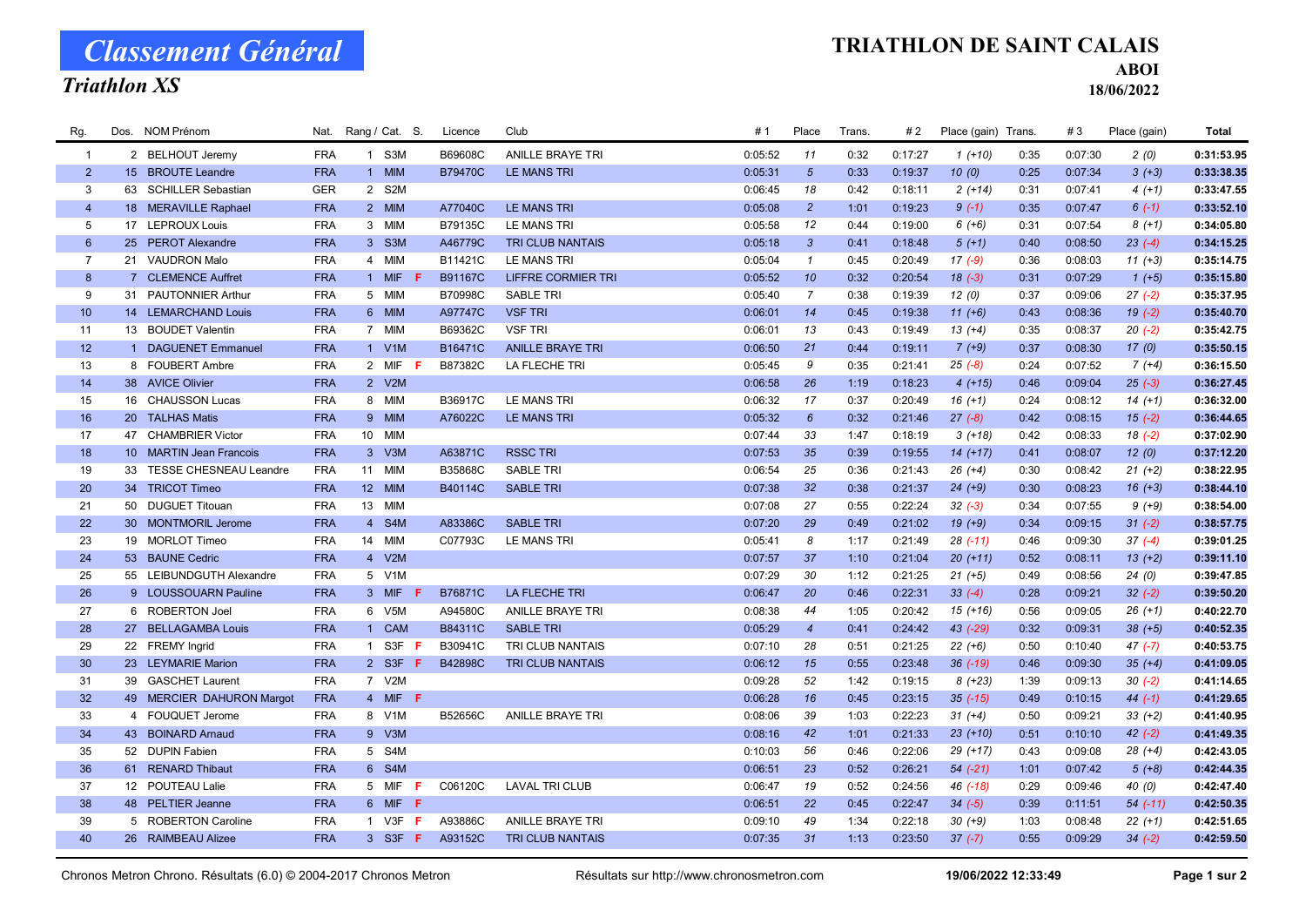# Classement Général

### Triathlon XS

#### TRIATHLON DE SAINT CALAIS

ABOI

18/06/2022

| Rg.             | Dos. NOM Prénom           | Nat.       | Rang / Cat. S. |     | Licence        | Club                      | # 1     | Place           | Trans. | #2      | Place (gain) Trans. |      | #3      | Place (gain) | Total      |
|-----------------|---------------------------|------------|----------------|-----|----------------|---------------------------|---------|-----------------|--------|---------|---------------------|------|---------|--------------|------------|
| $\overline{1}$  | 2 BELHOUT Jeremy          | <b>FRA</b> | 1 S3M          |     | B69608C        | <b>ANILLE BRAYE TRI</b>   | 0:05:52 | 11              | 0:32   | 0:17:27 | $1(+10)$            | 0:35 | 0:07:30 | 2(0)         | 0:31:53.95 |
| $\overline{2}$  | 15 BROUTE Leandre         | <b>FRA</b> | 1 MIM          |     | <b>B79470C</b> | LE MANS TRI               | 0:05:31 | $5\overline{)}$ | 0:33   | 0:19:37 | 10(0)               | 0:25 | 0:07:34 | $3(+3)$      | 0:33:38.35 |
| 3               | 63 SCHILLER Sebastian     | <b>GER</b> | 2 S2M          |     |                |                           | 0:06:45 | 18              | 0:42   | 0:18:11 | $2(+14)$            | 0:31 | 0:07:41 | $4(+1)$      | 0:33:47.55 |
| $\overline{4}$  | 18 MERAVILLE Raphael      | <b>FRA</b> | 2 MIM          |     | A77040C        | <b>LE MANS TRI</b>        | 0:05:08 | $\overline{2}$  | 1:01   | 0:19:23 | $9(-1)$             | 0:35 | 0:07:47 | $6(-1)$      | 0:33:52.10 |
| 5               | 17 LEPROUX Louis          | <b>FRA</b> | 3 MIM          |     | B79135C        | LE MANS TRI               | 0:05:58 | 12              | 0:44   | 0:19:00 | $6 (+6)$            | 0:31 | 0:07:54 | $8(+1)$      | 0:34:05.80 |
| $6\phantom{1}$  | 25 PEROT Alexandre        | <b>FRA</b> | 3 S3M          |     | A46779C        | TRI CLUB NANTAIS          | 0:05:18 | $\mathbf{3}$    | 0:41   | 0:18:48 | $5(+1)$             | 0:40 | 0:08:50 | $23(-4)$     | 0:34:15.25 |
| $\overline{7}$  | 21 VAUDRON Malo           | <b>FRA</b> | 4 MIM          |     | B11421C        | LE MANS TRI               | 0:05:04 | $\mathbf{1}$    | 0:45   | 0:20:49 | $17(-9)$            | 0:36 | 0:08:03 | $11 (+3)$    | 0:35:14.75 |
| 8               | 7 CLEMENCE Auffret        | <b>FRA</b> | 1 MIF          |     | <b>B91167C</b> | <b>LIFFRE CORMIER TRI</b> | 0:05:52 | 10              | 0:32   | 0:20:54 | $18(-3)$            | 0:31 | 0:07:29 | $1 (+5)$     | 0:35:15.80 |
| 9               | 31 PAUTONNIER Arthur      | <b>FRA</b> | 5 MIM          |     | B70998C        | <b>SABLE TRI</b>          | 0:05:40 | $\overline{7}$  | 0:38   | 0:19:39 | 12(0)               | 0:37 | 0:09:06 | $27(-2)$     | 0:35:37.95 |
| 10              | 14 LEMARCHAND Louis       | <b>FRA</b> | 6 MIM          |     | A97747C        | <b>VSF TRI</b>            | 0:06:01 | 14              | 0:45   | 0:19:38 | $11 (+6)$           | 0:43 | 0:08:36 | $19(-2)$     | 0:35:40.70 |
| 11              | 13 BOUDET Valentin        | <b>FRA</b> | 7 MIM          |     | B69362C        | <b>VSF TRI</b>            | 0:06:01 | 13              | 0:43   | 0:19:49 | $13(+4)$            | 0:35 | 0:08:37 | $20(-2)$     | 0:35:42.75 |
| 12              | 1 DAGUENET Emmanuel       | <b>FRA</b> | 1 V1M          |     | B16471C        | <b>ANILLE BRAYE TRI</b>   | 0:06:50 | 21              | 0:44   | 0:19:11 | $7 (+9)$            | 0:37 | 0:08:30 | 17(0)        | 0:35:50.15 |
| 13              | 8 FOUBERT Ambre           | <b>FRA</b> | 2 MIF F        |     | B87382C        | LA FLECHE TRI             | 0:05:45 | 9               | 0:35   | 0:21:41 | $25(-8)$            | 0:24 | 0:07:52 | $7(+4)$      | 0:36:15.50 |
| 14              | 38 AVICE Olivier          | <b>FRA</b> | 2 V2M          |     |                |                           | 0:06:58 | 26              | 1:19   | 0:18:23 | $4(+15)$            | 0:46 | 0:09:04 | $25(-3)$     | 0:36:27.45 |
| 15              | 16 CHAUSSON Lucas         | <b>FRA</b> | 8 MIM          |     | B36917C        | <b>LE MANS TRI</b>        | 0:06:32 | 17              | 0:37   | 0:20:49 | $16 (+1)$           | 0:24 | 0:08:12 | $14 (+1)$    | 0:36:32.00 |
| 16              | 20 TALHAS Matis           | <b>FRA</b> | 9 MIM          |     | A76022C        | <b>LE MANS TRI</b>        | 0:05:32 | $6\overline{6}$ | 0:32   | 0:21:46 | $27(-8)$            | 0:42 | 0:08:15 | $15(-2)$     | 0:36:44.65 |
| 17              | 47 CHAMBRIER Victor       | <b>FRA</b> | 10 MIM         |     |                |                           | 0:07:44 | 33              | 1:47   | 0:18:19 | $3(+18)$            | 0:42 | 0:08:33 | $18(-2)$     | 0:37:02.90 |
| 18              | 10 MARTIN Jean Francois   | <b>FRA</b> | 3 V3M          |     | A63871C        | <b>RSSC TRI</b>           | 0:07:53 | 35              | 0:39   | 0:19:55 | $14(+17)$           | 0:41 | 0:08:07 | 12(0)        | 0:37:12.20 |
| 19              | 33 TESSE CHESNEAU Leandre | <b>FRA</b> | 11 MIM         |     | B35868C        | <b>SABLE TRI</b>          | 0:06:54 | 25              | 0:36   | 0:21:43 | $26 (+4)$           | 0:30 | 0:08:42 | $21 (+2)$    | 0:38:22.95 |
| 20              | 34 TRICOT Timeo           | <b>FRA</b> | 12 MIM         |     | B40114C        | <b>SABLE TRI</b>          | 0:07:38 | 32 <sup>2</sup> | 0:38   | 0:21:37 | $24 (+9)$           | 0:30 | 0:08:23 | $16 (+3)$    | 0:38:44.10 |
| 21              | 50 DUGUET Titouan         | <b>FRA</b> | 13 MIM         |     |                |                           | 0:07:08 | 27              | 0:55   | 0:22:24 | $32(-3)$            | 0:34 | 0:07:55 | $9 (+9)$     | 0:38:54.00 |
| 22              | 30 MONTMORIL Jerome       | <b>FRA</b> | 4 S4M          |     | A83386C        | <b>SABLE TRI</b>          | 0:07:20 | 29              | 0:49   | 0:21:02 | $19(+9)$            | 0:34 | 0:09:15 | $31 (-2)$    | 0:38:57.75 |
| 23              | 19 MORLOT Timeo           | <b>FRA</b> | 14 MIM         |     | C07793C        | LE MANS TRI               | 0:05:41 | 8               | 1:17   | 0:21:49 | $28$ $(-11)$        | 0:46 | 0:09:30 | $37(-4)$     | 0:39:01.25 |
| 24              | 53 BAUNE Cedric           | <b>FRA</b> | 4 V2M          |     |                |                           | 0:07:57 | 37              | 1:10   | 0:21:04 | $20(+11)$           | 0:52 | 0:08:11 | $13 (+2)$    | 0:39:11.10 |
| 25              | 55 LEIBUNDGUTH Alexandre  | <b>FRA</b> | 5 V1M          |     |                |                           | 0:07:29 | 30              | 1:12   | 0:21:25 | $21 (+5)$           | 0:49 | 0:08:56 | 24(0)        | 0:39:47.85 |
| 26              | 9 LOUSSOUARN Pauline      | <b>FRA</b> | 3 MIF          | -F  | B76871C        | <b>LA FLECHE TRI</b>      | 0:06:47 | 20              | 0:46   | 0:22:31 | $33(-4)$            | 0:28 | 0:09:21 | $32(-2)$     | 0:39:50.20 |
| 27              | 6 ROBERTON Joel           | <b>FRA</b> | 6 V5M          |     | A94580C        | <b>ANILLE BRAYE TRI</b>   | 0:08:38 | 44              | 1:05   | 0:20:42 | $15 (+16)$          | 0:56 | 0:09:05 | $26 (+1)$    | 0:40:22.70 |
| 28              | 27 BELLAGAMBA Louis       | <b>FRA</b> | 1 CAM          |     | B84311C        | <b>SABLE TRI</b>          | 0:05:29 | $\overline{4}$  | 0:41   | 0:24:42 | 43 (-29)            | 0:32 | 0:09:31 | $38 (+5)$    | 0:40:52.35 |
| 29              | 22 FREMY Ingrid           | <b>FRA</b> | 1 S3F          | - F | B30941C        | TRI CLUB NANTAIS          | 0:07:10 | 28              | 0:51   | 0:21:25 | $22 (+6)$           | 0:50 | 0:10:40 | $47(-7)$     | 0:40:53.75 |
| 30 <sup>°</sup> | 23 LEYMARIE Marion        | <b>FRA</b> | 2 S3F F        |     | B42898C        | TRI CLUB NANTAIS          | 0:06:12 | 15              | 0:55   | 0:23:48 | $36$ $(-19)$        | 0:46 | 0:09:30 | $35 (+4)$    | 0:41:09.05 |
| 31              | 39 GASCHET Laurent        | <b>FRA</b> | 7 V2M          |     |                |                           | 0:09:28 | 52              | 1:42   | 0:19:15 | $8 (+23)$           | 1:39 | 0:09:13 | $30(-2)$     | 0:41:14.65 |
| 32              | 49 MERCIER DAHURON Margot | <b>FRA</b> | 4 MIF F        |     |                |                           | 0:06:28 | 16              | 0:45   | 0:23:15 | $35$ ( $-15$ )      | 0:49 | 0:10:15 | $44 (-1)$    | 0:41:29.65 |
| 33              | 4 FOUQUET Jerome          | <b>FRA</b> | 8 V1M          |     | B52656C        | <b>ANILLE BRAYE TRI</b>   | 0:08:06 | 39              | 1:03   | 0:22:23 | $31 (+4)$           | 0:50 | 0:09:21 | $33 (+2)$    | 0:41:40.95 |
| 34              | 43 BOINARD Arnaud         | <b>FRA</b> | 9 V3M          |     |                |                           | 0:08:16 | 42              | 1:01   | 0:21:33 | $23(+10)$           | 0:51 | 0:10:10 | $42 (-2)$    | 0:41:49.35 |
| 35              | 52 DUPIN Fabien           | <b>FRA</b> | 5 S4M          |     |                |                           | 0:10:03 | 56              | 0:46   | 0:22:06 | 29 (+17)            | 0:43 | 0:09:08 | $28 (+4)$    | 0:42:43.05 |
| 36              | 61 RENARD Thibaut         | <b>FRA</b> | 6 S4M          |     |                |                           | 0:06:51 | 23              | 0:52   | 0:26:21 | $54 (-21)$          | 1:01 | 0:07:42 | $5(+8)$      | 0:42:44.35 |
| 37              | 12 POUTEAU Lalie          | <b>FRA</b> | 5 MIF          | -F. | C06120C        | <b>LAVAL TRI CLUB</b>     | 0:06:47 | 19              | 0:52   | 0:24:56 | 46 (-18)            | 0:29 | 0:09:46 | 40 (0)       | 0:42:47.40 |
| 38              | 48 PELTIER Jeanne         | <b>FRA</b> | 6 MIF F        |     |                |                           | 0:06:51 | 22              | 0:45   | 0:22:47 | $34 (-5)$           | 0:39 | 0:11:51 | $54$ $(-11)$ | 0:42:50.35 |
| 39              | 5 ROBERTON Caroline       | <b>FRA</b> | 1 V3F <b>F</b> |     | A93886C        | <b>ANILLE BRAYE TRI</b>   | 0:09:10 | 49              | 1:34   | 0:22:18 | $30 (+9)$           | 1:03 | 0:08:48 | $22 (+1)$    | 0:42:51.65 |
| 40              | 26 RAIMBEAU Alizee        | <b>FRA</b> | $3$ S3F F      |     | A93152C        | <b>TRI CLUB NANTAIS</b>   | 0:07:35 | 31              | 1:13   | 0:23:50 | $37(-7)$            | 0:55 | 0:09:29 | $34 (-2)$    | 0:42:59.50 |
|                 |                           |            |                |     |                |                           |         |                 |        |         |                     |      |         |              |            |

Chronos Metron Chrono. Résultats (6.0) © 2004-2017 Chronos Metron Résultats sur http://www.chronosmetron.com 19/06/2022 12:33:49 Page 1 sur 2